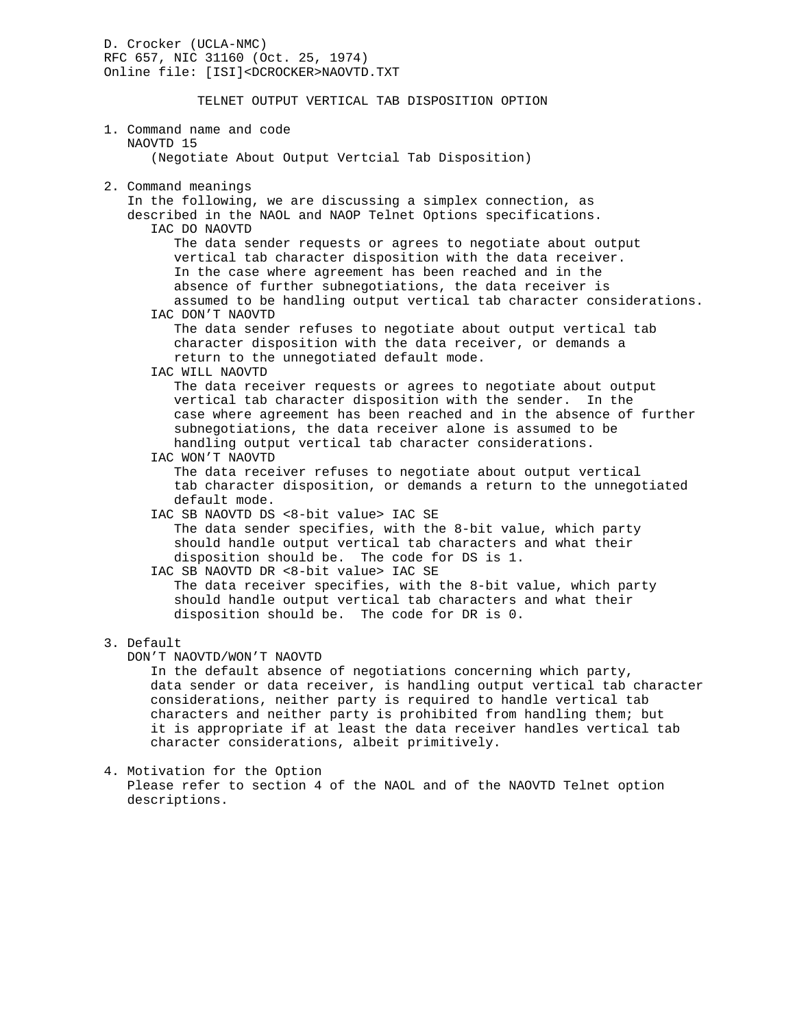D. Crocker (UCLA-NMC) RFC 657, NIC 31160 (Oct. 25, 1974) Online file: [ISI]<DCROCKER>NAOVTD.TXT

## TELNET OUTPUT VERTICAL TAB DISPOSITION OPTION

## 1. Command name and code NAOVTD 15 (Negotiate About Output Vertcial Tab Disposition) 2. Command meanings In the following, we are discussing a simplex connection, as described in the NAOL and NAOP Telnet Options specifications. IAC DO NAOVTD The data sender requests or agrees to negotiate about output vertical tab character disposition with the data receiver. In the case where agreement has been reached and in the absence of further subnegotiations, the data receiver is assumed to be handling output vertical tab character considerations. IAC DON'T NAOVTD The data sender refuses to negotiate about output vertical tab character disposition with the data receiver, or demands a return to the unnegotiated default mode. IAC WILL NAOVTD The data receiver requests or agrees to negotiate about output vertical tab character disposition with the sender. In the case where agreement has been reached and in the absence of further subnegotiations, the data receiver alone is assumed to be handling output vertical tab character considerations. IAC WON'T NAOVTD The data receiver refuses to negotiate about output vertical tab character disposition, or demands a return to the unnegotiated default mode. IAC SB NAOVTD DS <8-bit value> IAC SE The data sender specifies, with the 8-bit value, which party should handle output vertical tab characters and what their disposition should be. The code for DS is 1. IAC SB NAOVTD DR <8-bit value> IAC SE The data receiver specifies, with the 8-bit value, which party should handle output vertical tab characters and what their disposition should be. The code for DR is 0. 3. Default DON'T NAOVTD/WON'T NAOVTD In the default absence of negotiations concerning which party,

 data sender or data receiver, is handling output vertical tab character considerations, neither party is required to handle vertical tab characters and neither party is prohibited from handling them; but it is appropriate if at least the data receiver handles vertical tab character considerations, albeit primitively.

4. Motivation for the Option

 Please refer to section 4 of the NAOL and of the NAOVTD Telnet option descriptions.